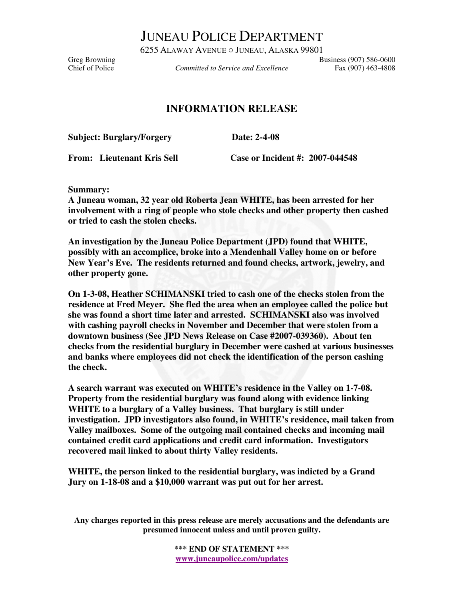JUNEAU POLICE DEPARTMENT

6255 ALAWAY AVENUE ○ JUNEAU, ALASKA 99801 Greg Browning<br>Committed to Service and Excellence Fax (907) 586-0600<br>Fax (907) 463-4808

*Committed to Service and Excellence* Fax (907) 463-4808

## **INFORMATION RELEASE**

**Subject: Burglary/Forgery Date: 2-4-08** 

**From: Lieutenant Kris Sell Case or Incident #: 2007-044548** 

**Summary:** 

**A Juneau woman, 32 year old Roberta Jean WHITE, has been arrested for her involvement with a ring of people who stole checks and other property then cashed or tried to cash the stolen checks.** 

**An investigation by the Juneau Police Department (JPD) found that WHITE, possibly with an accomplice, broke into a Mendenhall Valley home on or before New Year's Eve. The residents returned and found checks, artwork, jewelry, and other property gone.** 

**On 1-3-08, Heather SCHIMANSKI tried to cash one of the checks stolen from the residence at Fred Meyer. She fled the area when an employee called the police but she was found a short time later and arrested. SCHIMANSKI also was involved with cashing payroll checks in November and December that were stolen from a downtown business (See JPD News Release on Case #2007-039360). About ten checks from the residential burglary in December were cashed at various businesses and banks where employees did not check the identification of the person cashing the check.** 

**A search warrant was executed on WHITE's residence in the Valley on 1-7-08. Property from the residential burglary was found along with evidence linking WHITE to a burglary of a Valley business. That burglary is still under investigation. JPD investigators also found, in WHITE's residence, mail taken from Valley mailboxes. Some of the outgoing mail contained checks and incoming mail contained credit card applications and credit card information. Investigators recovered mail linked to about thirty Valley residents.** 

**WHITE, the person linked to the residential burglary, was indicted by a Grand Jury on 1-18-08 and a \$10,000 warrant was put out for her arrest.** 

**Any charges reported in this press release are merely accusations and the defendants are presumed innocent unless and until proven guilty.** 

> **\*\*\* END OF STATEMENT \*\*\* www.juneaupolice.com/updates**